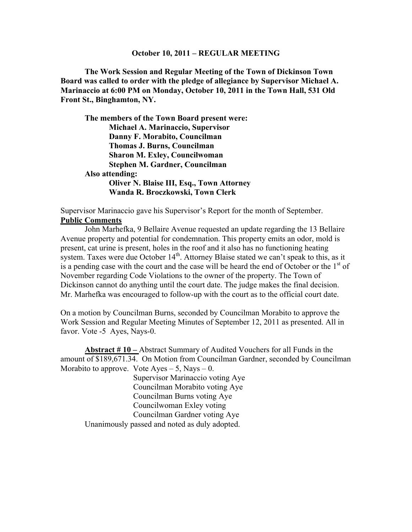#### **October 10, 2011 – REGULAR MEETING**

**The Work Session and Regular Meeting of the Town of Dickinson Town Board was called to order with the pledge of allegiance by Supervisor Michael A. Marinaccio at 6:00 PM on Monday, October 10, 2011 in the Town Hall, 531 Old Front St., Binghamton, NY.**

**The members of the Town Board present were: Michael A. Marinaccio, Supervisor Danny F. Morabito, Councilman Thomas J. Burns, Councilman Sharon M. Exley, Councilwoman Stephen M. Gardner, Councilman Also attending: Oliver N. Blaise III, Esq., Town Attorney Wanda R. Broczkowski, Town Clerk**

Supervisor Marinaccio gave his Supervisor's Report for the month of September. **Public Comments**

John Marhefka, 9 Bellaire Avenue requested an update regarding the 13 Bellaire Avenue property and potential for condemnation. This property emits an odor, mold is present, cat urine is present, holes in the roof and it also has no functioning heating system. Taxes were due October  $14<sup>th</sup>$ . Attorney Blaise stated we can't speak to this, as it is a pending case with the court and the case will be heard the end of October or the  $1<sup>st</sup>$  of November regarding Code Violations to the owner of the property. The Town of Dickinson cannot do anything until the court date. The judge makes the final decision. Mr. Marhefka was encouraged to follow-up with the court as to the official court date.

On a motion by Councilman Burns, seconded by Councilman Morabito to approve the Work Session and Regular Meeting Minutes of September 12, 2011 as presented. All in favor. Vote -5 Ayes, Nays-0.

**Abstract # 10 –** Abstract Summary of Audited Vouchers for all Funds in the amount of \$189,671.34. On Motion from Councilman Gardner, seconded by Councilman Morabito to approve. Vote  $Ayes - 5$ , Nays  $- 0$ .

Supervisor Marinaccio voting Aye Councilman Morabito voting Aye Councilman Burns voting Aye Councilwoman Exley voting Councilman Gardner voting Aye Unanimously passed and noted as duly adopted.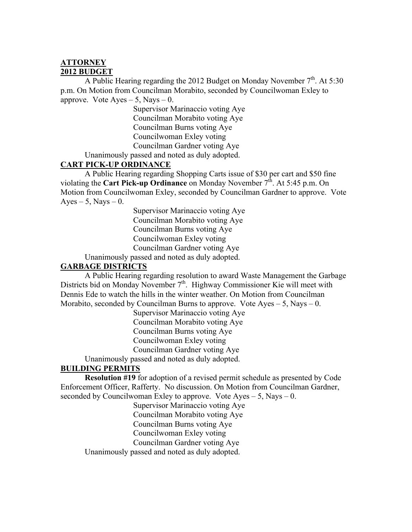## **ATTORNEY 2012 BUDGET**

A Public Hearing regarding the 2012 Budget on Monday November  $7<sup>th</sup>$ . At 5:30 p.m. On Motion from Councilman Morabito, seconded by Councilwoman Exley to approve. Vote  $Ayes - 5$ , Nays  $- 0$ .

> Supervisor Marinaccio voting Aye Councilman Morabito voting Aye Councilman Burns voting Aye Councilwoman Exley voting Councilman Gardner voting Aye

Unanimously passed and noted as duly adopted.

## **CART PICK-UP ORDINANCE**

A Public Hearing regarding Shopping Carts issue of \$30 per cart and \$50 fine violating the **Cart Pick-up Ordinance** on Monday November 7<sup>th</sup>. At 5:45 p.m. On Motion from Councilwoman Exley, seconded by Councilman Gardner to approve. Vote Ayes – 5, Nays – 0.

> Supervisor Marinaccio voting Aye Councilman Morabito voting Aye Councilman Burns voting Aye Councilwoman Exley voting Councilman Gardner voting Aye

Unanimously passed and noted as duly adopted.

# **GARBAGE DISTRICTS**

A Public Hearing regarding resolution to award Waste Management the Garbage Districts bid on Monday November 7<sup>th</sup>. Highway Commissioner Kie will meet with Dennis Ede to watch the hills in the winter weather. On Motion from Councilman Morabito, seconded by Councilman Burns to approve. Vote  $Ayes - 5$ , Nays – 0.

Supervisor Marinaccio voting Aye

Councilman Morabito voting Aye

Councilman Burns voting Aye

Councilwoman Exley voting

Councilman Gardner voting Aye

Unanimously passed and noted as duly adopted.

# **BUILDING PERMITS**

**Resolution #19** for adoption of a revised permit schedule as presented by Code Enforcement Officer, Rafferty. No discussion. On Motion from Councilman Gardner, seconded by Councilwoman Exley to approve. Vote  $Ayes - 5$ , Nays  $- 0$ .

Supervisor Marinaccio voting Aye

Councilman Morabito voting Aye

Councilman Burns voting Aye

Councilwoman Exley voting

Councilman Gardner voting Aye

Unanimously passed and noted as duly adopted.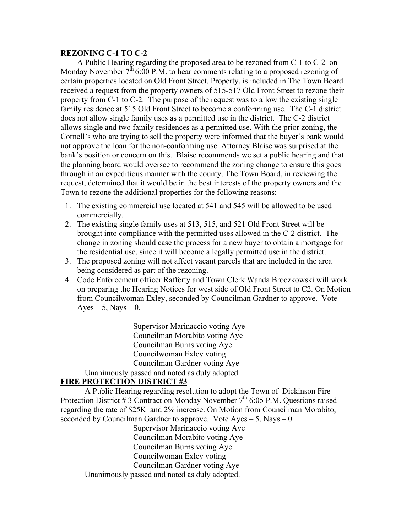#### **REZONING C-1 TO C-2**

A Public Hearing regarding the proposed area to be rezoned from C-1 to C-2 on Monday November  $7<sup>th</sup> 6:00$  P.M. to hear comments relating to a proposed rezoning of certain properties located on Old Front Street. Property, is included in The Town Board received a request from the property owners of 515-517 Old Front Street to rezone their property from C-1 to C-2. The purpose of the request was to allow the existing single family residence at 515 Old Front Street to become a conforming use. The C-1 district does not allow single family uses as a permitted use in the district. The C-2 district allows single and two family residences as a permitted use. With the prior zoning, the Cornell's who are trying to sell the property were informed that the buyer's bank would not approve the loan for the non-conforming use. Attorney Blaise was surprised at the bank's position or concern on this. Blaise recommends we set a public hearing and that the planning board would oversee to recommend the zoning change to ensure this goes through in an expeditious manner with the county. The Town Board, in reviewing the request, determined that it would be in the best interests of the property owners and the Town to rezone the additional properties for the following reasons:

- 1. The existing commercial use located at 541 and 545 will be allowed to be used commercially.
- 2. The existing single family uses at 513, 515, and 521 Old Front Street will be brought into compliance with the permitted uses allowed in the C-2 district. The change in zoning should ease the process for a new buyer to obtain a mortgage for the residential use, since it will become a legally permitted use in the district.
- 3. The proposed zoning will not affect vacant parcels that are included in the area being considered as part of the rezoning.
- 4. Code Enforcement officer Rafferty and Town Clerk Wanda Broczkowski will work on preparing the Hearing Notices for west side of Old Front Street to C2. On Motion from Councilwoman Exley, seconded by Councilman Gardner to approve. Vote Ayes – 5, Nays – 0.

Supervisor Marinaccio voting Aye Councilman Morabito voting Aye Councilman Burns voting Aye Councilwoman Exley voting Councilman Gardner voting Aye Unanimously passed and noted as duly adopted.

## **FIRE PROTECTION DISTRICT #3**

A Public Hearing regarding resolution to adopt the Town of Dickinson Fire Protection District # 3 Contract on Monday November  $7<sup>th</sup>$  6:05 P.M. Questions raised regarding the rate of \$25K and 2% increase. On Motion from Councilman Morabito, seconded by Councilman Gardner to approve. Vote  $Ayes - 5$ , Nays  $- 0$ .

Supervisor Marinaccio voting Aye Councilman Morabito voting Aye Councilman Burns voting Aye Councilwoman Exley voting Councilman Gardner voting Aye Unanimously passed and noted as duly adopted.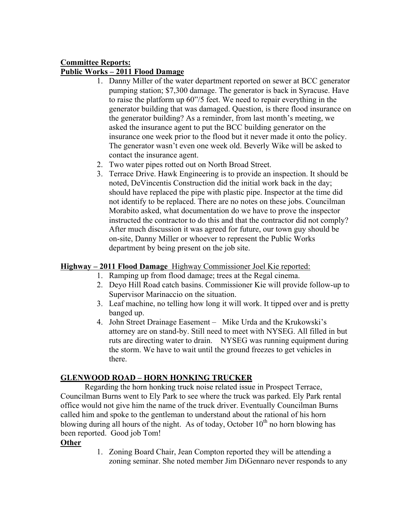# **Committee Reports: Public Works – 2011 Flood Damage**

- 1. Danny Miller of the water department reported on sewer at BCC generator pumping station; \$7,300 damage. The generator is back in Syracuse. Have to raise the platform up 60"/5 feet. We need to repair everything in the generator building that was damaged. Question, is there flood insurance on the generator building? As a reminder, from last month's meeting, we asked the insurance agent to put the BCC building generator on the insurance one week prior to the flood but it never made it onto the policy. The generator wasn't even one week old. Beverly Wike will be asked to contact the insurance agent.
- 2. Two water pipes rotted out on North Broad Street.
- 3. Terrace Drive. Hawk Engineering is to provide an inspection. It should be noted, DeVincentis Construction did the initial work back in the day; should have replaced the pipe with plastic pipe. Inspector at the time did not identify to be replaced. There are no notes on these jobs. Councilman Morabito asked, what documentation do we have to prove the inspector instructed the contractor to do this and that the contractor did not comply? After much discussion it was agreed for future, our town guy should be on-site, Danny Miller or whoever to represent the Public Works department by being present on the job site.

## **Highway – 2011 Flood Damage** Highway Commissioner Joel Kie reported:

- 1. Ramping up from flood damage; trees at the Regal cinema.
- 2. Deyo Hill Road catch basins. Commissioner Kie will provide follow-up to Supervisor Marinaccio on the situation.
- 3. Leaf machine, no telling how long it will work. It tipped over and is pretty banged up.
- 4. John Street Drainage Easement Mike Urda and the Krukowski's attorney are on stand-by. Still need to meet with NYSEG. All filled in but ruts are directing water to drain. NYSEG was running equipment during the storm. We have to wait until the ground freezes to get vehicles in there.

## **GLENWOOD ROAD – HORN HONKING TRUCKER**

Regarding the horn honking truck noise related issue in Prospect Terrace, Councilman Burns went to Ely Park to see where the truck was parked. Ely Park rental office would not give him the name of the truck driver. Eventually Councilman Burns called him and spoke to the gentleman to understand about the rational of his horn blowing during all hours of the night. As of today, October  $10<sup>th</sup>$  no horn blowing has been reported. Good job Tom!

# **Other**

1. Zoning Board Chair, Jean Compton reported they will be attending a zoning seminar. She noted member Jim DiGennaro never responds to any